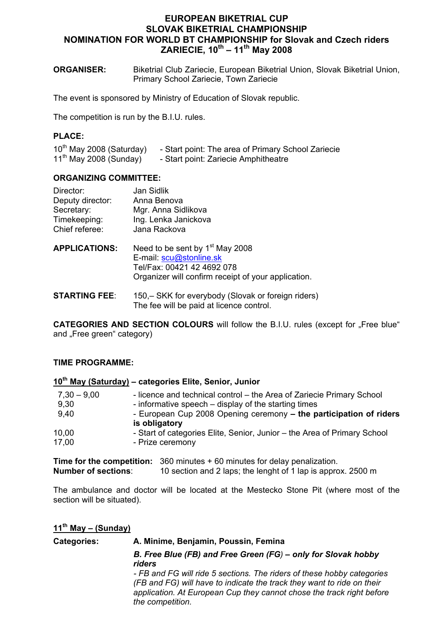# **EUROPEAN BIKETRIAL CUP SLOVAK BIKETRIAL CHAMPIONSHIP NOMINATION FOR WORLD BT CHAMPIONSHIP for Slovak and Czech riders ZARIECIE, 10th – 11th May 2008**

**ORGANISER:** Biketrial Club Zariecie, European Biketrial Union, Slovak Biketrial Union, Primary School Zariecie, Town Zariecie

The event is sponsored by Ministry of Education of Slovak republic.

The competition is run by the B.I.U. rules.

## **PLACE:**

10<sup>th</sup> May 2008 (Saturday) - Start point: The area of Primary School Zariecie 11<sup>th</sup> May 2008 (Sunday) - Start point: Zariecie Amphitheatre

### **ORGANIZING COMMITTEE:**

| Director:            | Jan Sidlik                                                                                                                                                  |
|----------------------|-------------------------------------------------------------------------------------------------------------------------------------------------------------|
| Deputy director:     | Anna Benova                                                                                                                                                 |
| Secretary:           | Mgr. Anna Sidlikova                                                                                                                                         |
| Timekeeping:         | Ing. Lenka Janickova                                                                                                                                        |
| Chief referee:       | Jana Rackova                                                                                                                                                |
| <b>APPLICATIONS:</b> | Need to be sent by 1 <sup>st</sup> May 2008<br>E-mail: scu@stonline.sk<br>Tel/Fax: 00421 42 4692 078<br>Organizer will confirm receipt of your application. |

**STARTING FEE:** 150, – SKK for everybody (Slovak or foreign riders) The fee will be paid at licence control.

**CATEGORIES AND SECTION COLOURS** will follow the B.I.U. rules (except for "Free blue" and "Free green" category)

#### **TIME PROGRAMME:**

## **10th May (Saturday) – categories Elite, Senior, Junior**

| $7,30 - 9,00$ | - licence and technical control – the Area of Zariecie Primary School    |
|---------------|--------------------------------------------------------------------------|
| 9,30          | - informative speech – display of the starting times                     |
| 9,40          | - European Cup 2008 Opening ceremony - the participation of riders       |
|               | is obligatory                                                            |
| 10,00         | - Start of categories Elite, Senior, Junior - the Area of Primary School |
| 17.00         | - Prize ceremony                                                         |
|               |                                                                          |

**Time for the competition:** 360 minutes + 60 minutes for delay penalization.<br>**Number of sections:** 10 section and 2 laps: the length of 1 lap is appro 10 section and 2 laps; the lenght of 1 lap is approx. 2500 m

The ambulance and doctor will be located at the Mestecko Stone Pit (where most of the section will be situated).

### **11th May – (Sunday)**

# **Categories: A. Minime, Benjamin, Poussin, Femina**  *B. Free Blue (FB) and Free Green (FG) – only for Slovak hobby riders - FB and FG will ride 5 sections. The riders of these hobby categories (FB and FG) will have to indicate the track they want to ride on their application. At European Cup they cannot chose the track right before the competition.*